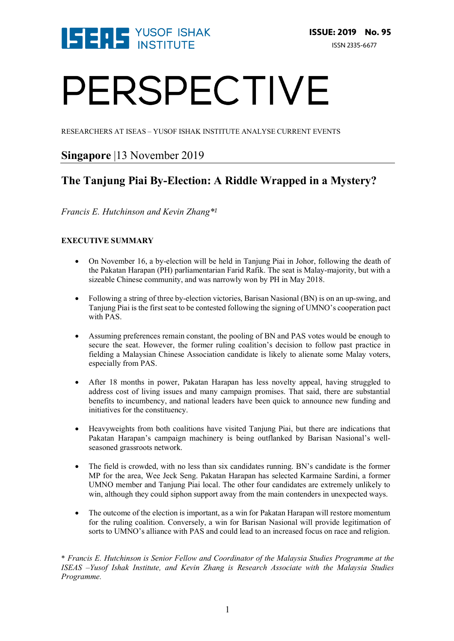

# PERSPECTIVE

RESEARCHERS AT ISEAS – YUSOF ISHAK INSTITUTE ANALYSE CURRENT EVENTS

# **Singapore** |13 November 2019

# **The Tanjung Piai By-Election: A Riddle Wrapped in a Mystery?**

*Francis E. Hutchinson and Kevin Zhang\*<sup>1</sup>*

#### **EXECUTIVE SUMMARY**

- On November 16, a by-election will be held in Tanjung Piai in Johor, following the death of the Pakatan Harapan (PH) parliamentarian Farid Rafik. The seat is Malay-majority, but with a sizeable Chinese community, and was narrowly won by PH in May 2018.
- Following a string of three by-election victories, Barisan Nasional (BN) is on an up-swing, and Tanjung Piai is the first seat to be contested following the signing of UMNO's cooperation pact with PAS.
- Assuming preferences remain constant, the pooling of BN and PAS votes would be enough to secure the seat. However, the former ruling coalition's decision to follow past practice in fielding a Malaysian Chinese Association candidate is likely to alienate some Malay voters, especially from PAS.
- After 18 months in power, Pakatan Harapan has less novelty appeal, having struggled to address cost of living issues and many campaign promises. That said, there are substantial benefits to incumbency, and national leaders have been quick to announce new funding and initiatives for the constituency.
- Heavyweights from both coalitions have visited Tanjung Piai, but there are indications that Pakatan Harapan's campaign machinery is being outflanked by Barisan Nasional's wellseasoned grassroots network.
- The field is crowded, with no less than six candidates running. BN's candidate is the former MP for the area, Wee Jeck Seng. Pakatan Harapan has selected Karmaine Sardini, a former UMNO member and Tanjung Piai local. The other four candidates are extremely unlikely to win, although they could siphon support away from the main contenders in unexpected ways.
- The outcome of the election is important, as a win for Pakatan Harapan will restore momentum for the ruling coalition. Conversely, a win for Barisan Nasional will provide legitimation of sorts to UMNO's alliance with PAS and could lead to an increased focus on race and religion.

<sup>\*</sup> *Francis E. Hutchinson is Senior Fellow and Coordinator of the Malaysia Studies Programme at the ISEAS –Yusof Ishak Institute, and Kevin Zhang is Research Associate with the Malaysia Studies Programme.*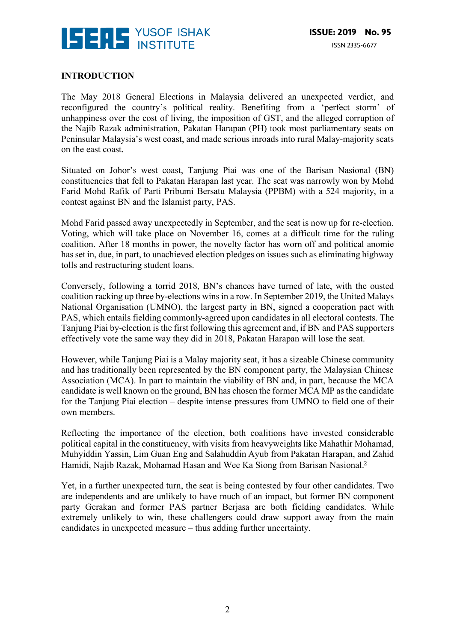

#### **INTRODUCTION**

The May 2018 General Elections in Malaysia delivered an unexpected verdict, and reconfigured the country's political reality. Benefiting from a 'perfect storm' of unhappiness over the cost of living, the imposition of GST, and the alleged corruption of the Najib Razak administration, Pakatan Harapan (PH) took most parliamentary seats on Peninsular Malaysia's west coast, and made serious inroads into rural Malay-majority seats on the east coast.

Situated on Johor's west coast, Tanjung Piai was one of the Barisan Nasional (BN) constituencies that fell to Pakatan Harapan last year. The seat was narrowly won by Mohd Farid Mohd Rafik of Parti Pribumi Bersatu Malaysia (PPBM) with a 524 majority, in a contest against BN and the Islamist party, PAS.

Mohd Farid passed away unexpectedly in September, and the seat is now up for re-election. Voting, which will take place on November 16, comes at a difficult time for the ruling coalition. After 18 months in power, the novelty factor has worn off and political anomie has set in, due, in part, to unachieved election pledges on issues such as eliminating highway tolls and restructuring student loans.

Conversely, following a torrid 2018, BN's chances have turned of late, with the ousted coalition racking up three by-elections wins in a row. In September 2019, the United Malays National Organisation (UMNO), the largest party in BN, signed a cooperation pact with PAS, which entails fielding commonly-agreed upon candidates in all electoral contests. The Tanjung Piai by-election is the first following this agreement and, if BN and PAS supporters effectively vote the same way they did in 2018, Pakatan Harapan will lose the seat.

However, while Tanjung Piai is a Malay majority seat, it has a sizeable Chinese community and has traditionally been represented by the BN component party, the Malaysian Chinese Association (MCA). In part to maintain the viability of BN and, in part, because the MCA candidate is well known on the ground, BN has chosen the former MCA MP as the candidate for the Tanjung Piai election – despite intense pressures from UMNO to field one of their own members.

Reflecting the importance of the election, both coalitions have invested considerable political capital in the constituency, with visits from heavyweights like Mahathir Mohamad, Muhyiddin Yassin, Lim Guan Eng and Salahuddin Ayub from Pakatan Harapan, and Zahid Hamidi, Najib Razak, Mohamad Hasan and Wee Ka Siong from Barisan Nasional.<sup>2</sup>

Yet, in a further unexpected turn, the seat is being contested by four other candidates. Two are independents and are unlikely to have much of an impact, but former BN component party Gerakan and former PAS partner Berjasa are both fielding candidates. While extremely unlikely to win, these challengers could draw support away from the main candidates in unexpected measure – thus adding further uncertainty.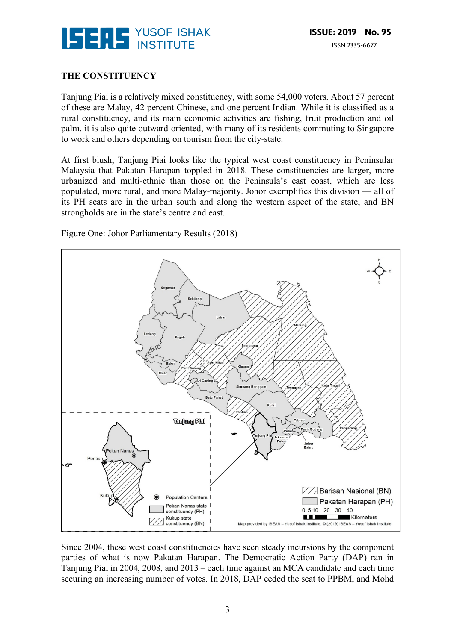

## **THE CONSTITUENCY**

Tanjung Piai is a relatively mixed constituency, with some 54,000 voters. About 57 percent of these are Malay, 42 percent Chinese, and one percent Indian. While it is classified as a rural constituency, and its main economic activities are fishing, fruit production and oil palm, it is also quite outward-oriented, with many of its residents commuting to Singapore to work and others depending on tourism from the city-state.

At first blush, Tanjung Piai looks like the typical west coast constituency in Peninsular Malaysia that Pakatan Harapan toppled in 2018. These constituencies are larger, more urbanized and multi-ethnic than those on the Peninsula's east coast, which are less populated, more rural, and more Malay-majority. Johor exemplifies this division — all of its PH seats are in the urban south and along the western aspect of the state, and BN strongholds are in the state's centre and east.

Figure One: Johor Parliamentary Results (2018)



Since 2004, these west coast constituencies have seen steady incursions by the component parties of what is now Pakatan Harapan. The Democratic Action Party (DAP) ran in Tanjung Piai in 2004, 2008, and 2013 – each time against an MCA candidate and each time securing an increasing number of votes. In 2018, DAP ceded the seat to PPBM, and Mohd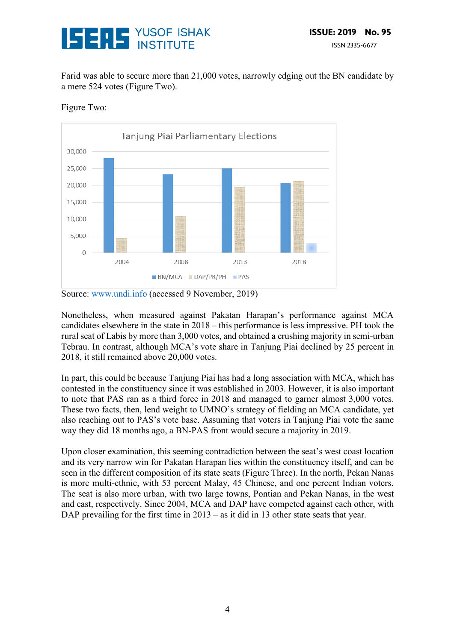

Farid was able to secure more than 21,000 votes, narrowly edging out the BN candidate by a mere 524 votes (Figure Two).



Figure Two:

Source: www.undi.info (accessed 9 November, 2019)

Nonetheless, when measured against Pakatan Harapan's performance against MCA candidates elsewhere in the state in 2018 – this performance is less impressive. PH took the rural seat of Labis by more than 3,000 votes, and obtained a crushing majority in semi-urban Tebrau. In contrast, although MCA's vote share in Tanjung Piai declined by 25 percent in 2018, it still remained above 20,000 votes.

In part, this could be because Tanjung Piai has had a long association with MCA, which has contested in the constituency since it was established in 2003. However, it is also important to note that PAS ran as a third force in 2018 and managed to garner almost 3,000 votes. These two facts, then, lend weight to UMNO's strategy of fielding an MCA candidate, yet also reaching out to PAS's vote base. Assuming that voters in Tanjung Piai vote the same way they did 18 months ago, a BN-PAS front would secure a majority in 2019.

Upon closer examination, this seeming contradiction between the seat's west coast location and its very narrow win for Pakatan Harapan lies within the constituency itself, and can be seen in the different composition of its state seats (Figure Three). In the north, Pekan Nanas is more multi-ethnic, with 53 percent Malay, 45 Chinese, and one percent Indian voters. The seat is also more urban, with two large towns, Pontian and Pekan Nanas, in the west and east, respectively. Since 2004, MCA and DAP have competed against each other, with DAP prevailing for the first time in 2013 – as it did in 13 other state seats that year.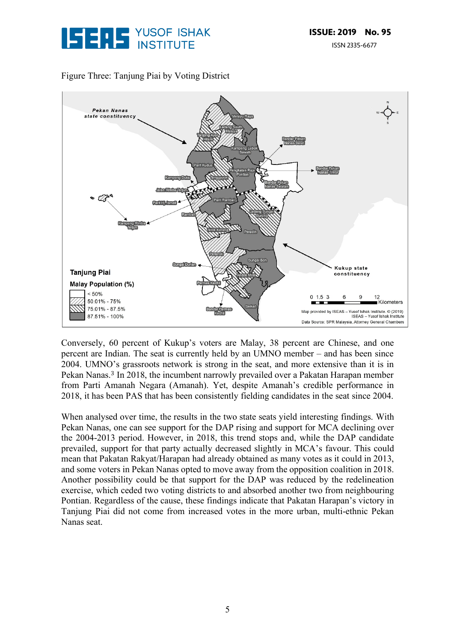

## Figure Three: Tanjung Piai by Voting District



Conversely, 60 percent of Kukup's voters are Malay, 38 percent are Chinese, and one percent are Indian. The seat is currently held by an UMNO member – and has been since 2004. UMNO's grassroots network is strong in the seat, and more extensive than it is in Pekan Nanas.<sup>3</sup> In 2018, the incumbent narrowly prevailed over a Pakatan Harapan member from Parti Amanah Negara (Amanah). Yet, despite Amanah's credible performance in 2018, it has been PAS that has been consistently fielding candidates in the seat since 2004.

When analysed over time, the results in the two state seats yield interesting findings. With Pekan Nanas, one can see support for the DAP rising and support for MCA declining over the 2004-2013 period. However, in 2018, this trend stops and, while the DAP candidate prevailed, support for that party actually decreased slightly in MCA's favour. This could mean that Pakatan Rakyat/Harapan had already obtained as many votes as it could in 2013, and some voters in Pekan Nanas opted to move away from the opposition coalition in 2018. Another possibility could be that support for the DAP was reduced by the redelineation exercise, which ceded two voting districts to and absorbed another two from neighbouring Pontian. Regardless of the cause, these findings indicate that Pakatan Harapan's victory in Tanjung Piai did not come from increased votes in the more urban, multi-ethnic Pekan Nanas seat.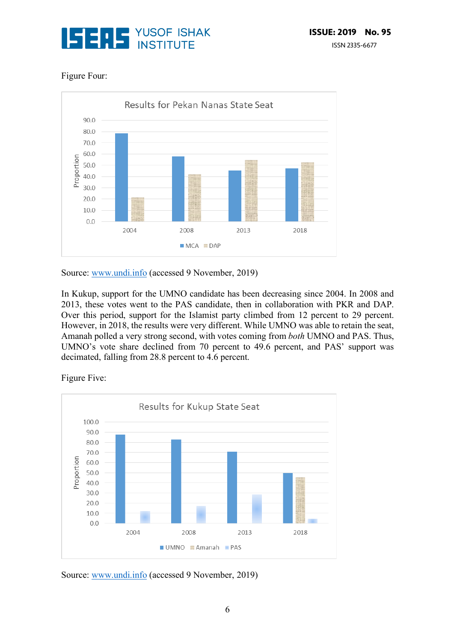

# Figure Four:



Source: www.undi.info (accessed 9 November, 2019)

In Kukup, support for the UMNO candidate has been decreasing since 2004. In 2008 and 2013, these votes went to the PAS candidate, then in collaboration with PKR and DAP. Over this period, support for the Islamist party climbed from 12 percent to 29 percent. However, in 2018, the results were very different. While UMNO was able to retain the seat, Amanah polled a very strong second, with votes coming from *both* UMNO and PAS. Thus, UMNO's vote share declined from 70 percent to 49.6 percent, and PAS' support was decimated, falling from 28.8 percent to 4.6 percent.

Figure Five:



Source: www.undi.info (accessed 9 November, 2019)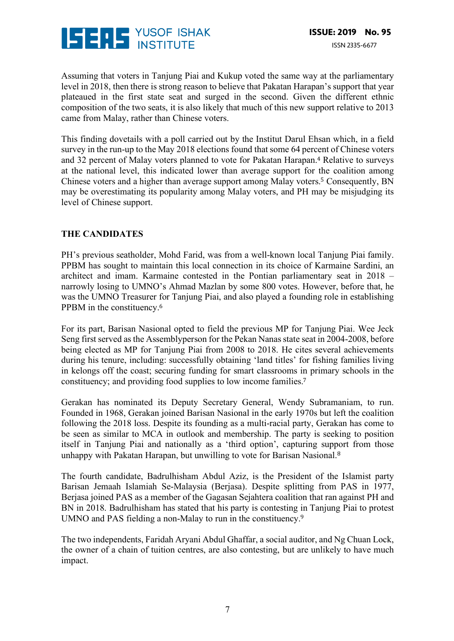

Assuming that voters in Tanjung Piai and Kukup voted the same way at the parliamentary level in 2018, then there is strong reason to believe that Pakatan Harapan's support that year plateaued in the first state seat and surged in the second. Given the different ethnic composition of the two seats, it is also likely that much of this new support relative to 2013 came from Malay, rather than Chinese voters.

This finding dovetails with a poll carried out by the Institut Darul Ehsan which, in a field survey in the run-up to the May 2018 elections found that some 64 percent of Chinese voters and 32 percent of Malay voters planned to vote for Pakatan Harapan.<sup>4</sup> Relative to surveys at the national level, this indicated lower than average support for the coalition among Chinese voters and a higher than average support among Malay voters.<sup>5</sup> Consequently, BN may be overestimating its popularity among Malay voters, and PH may be misjudging its level of Chinese support.

## **THE CANDIDATES**

PH's previous seatholder, Mohd Farid, was from a well-known local Tanjung Piai family. PPBM has sought to maintain this local connection in its choice of Karmaine Sardini, an architect and imam. Karmaine contested in the Pontian parliamentary seat in 2018 – narrowly losing to UMNO's Ahmad Mazlan by some 800 votes. However, before that, he was the UMNO Treasurer for Tanjung Piai, and also played a founding role in establishing PPBM in the constituency.<sup>6</sup>

For its part, Barisan Nasional opted to field the previous MP for Tanjung Piai. Wee Jeck Seng first served as the Assemblyperson for the Pekan Nanas state seat in 2004-2008, before being elected as MP for Tanjung Piai from 2008 to 2018. He cites several achievements during his tenure, including: successfully obtaining 'land titles' for fishing families living in kelongs off the coast; securing funding for smart classrooms in primary schools in the constituency; and providing food supplies to low income families.<sup>7</sup>

Gerakan has nominated its Deputy Secretary General, Wendy Subramaniam, to run. Founded in 1968, Gerakan joined Barisan Nasional in the early 1970s but left the coalition following the 2018 loss. Despite its founding as a multi-racial party, Gerakan has come to be seen as similar to MCA in outlook and membership. The party is seeking to position itself in Tanjung Piai and nationally as a 'third option', capturing support from those unhappy with Pakatan Harapan, but unwilling to vote for Barisan Nasional.<sup>8</sup>

The fourth candidate, Badrulhisham Abdul Aziz, is the President of the Islamist party Barisan Jemaah Islamiah Se-Malaysia (Berjasa). Despite splitting from PAS in 1977, Berjasa joined PAS as a member of the Gagasan Sejahtera coalition that ran against PH and BN in 2018. Badrulhisham has stated that his party is contesting in Tanjung Piai to protest UMNO and PAS fielding a non-Malay to run in the constituency.<sup>9</sup>

The two independents, Faridah Aryani Abdul Ghaffar, a social auditor, and Ng Chuan Lock, the owner of a chain of tuition centres, are also contesting, but are unlikely to have much impact.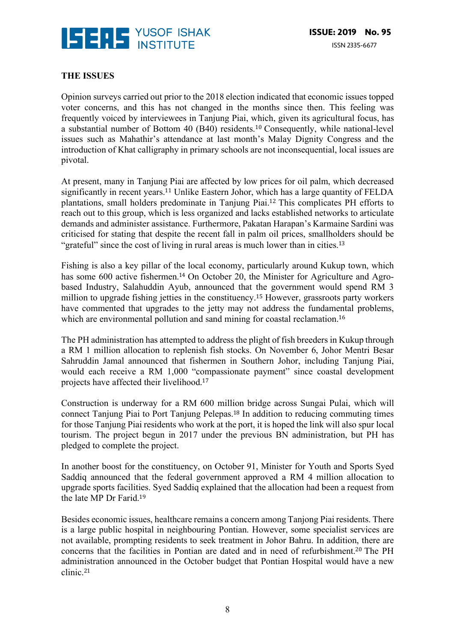

#### **THE ISSUES**

Opinion surveys carried out prior to the 2018 election indicated that economic issues topped voter concerns, and this has not changed in the months since then. This feeling was frequently voiced by interviewees in Tanjung Piai, which, given its agricultural focus, has a substantial number of Bottom 40 (B40) residents.<sup>10</sup> Consequently, while national-level issues such as Mahathir's attendance at last month's Malay Dignity Congress and the introduction of Khat calligraphy in primary schools are not inconsequential, local issues are pivotal.

At present, many in Tanjung Piai are affected by low prices for oil palm, which decreased significantly in recent years.<sup>11</sup> Unlike Eastern Johor, which has a large quantity of FELDA plantations, small holders predominate in Tanjung Piai.<sup>12</sup> This complicates PH efforts to reach out to this group, which is less organized and lacks established networks to articulate demands and administer assistance. Furthermore, Pakatan Harapan's Karmaine Sardini was criticised for stating that despite the recent fall in palm oil prices, smallholders should be "grateful" since the cost of living in rural areas is much lower than in cities.<sup>13</sup>

Fishing is also a key pillar of the local economy, particularly around Kukup town, which has some 600 active fishermen.<sup>14</sup> On October 20, the Minister for Agriculture and Agrobased Industry, Salahuddin Ayub, announced that the government would spend RM 3 million to upgrade fishing jetties in the constituency.<sup>15</sup> However, grassroots party workers have commented that upgrades to the jetty may not address the fundamental problems, which are environmental pollution and sand mining for coastal reclamation.<sup>16</sup>

The PH administration has attempted to address the plight of fish breeders in Kukup through a RM 1 million allocation to replenish fish stocks. On November 6, Johor Mentri Besar Sahruddin Jamal announced that fishermen in Southern Johor, including Tanjung Piai, would each receive a RM 1,000 "compassionate payment" since coastal development projects have affected their livelihood. 17

Construction is underway for a RM 600 million bridge across Sungai Pulai, which will connect Tanjung Piai to Port Tanjung Pelepas.<sup>18</sup> In addition to reducing commuting times for those Tanjung Piai residents who work at the port, it is hoped the link will also spur local tourism. The project begun in 2017 under the previous BN administration, but PH has pledged to complete the project.

In another boost for the constituency, on October 91, Minister for Youth and Sports Syed Saddiq announced that the federal government approved a RM 4 million allocation to upgrade sports facilities. Syed Saddiq explained that the allocation had been a request from the late MP Dr Farid.<sup>19</sup>

Besides economic issues, healthcare remains a concern among Tanjong Piai residents. There is a large public hospital in neighbouring Pontian. However, some specialist services are not available, prompting residents to seek treatment in Johor Bahru. In addition, there are concerns that the facilities in Pontian are dated and in need of refurbishment.<sup>20</sup> The PH administration announced in the October budget that Pontian Hospital would have a new clinic.21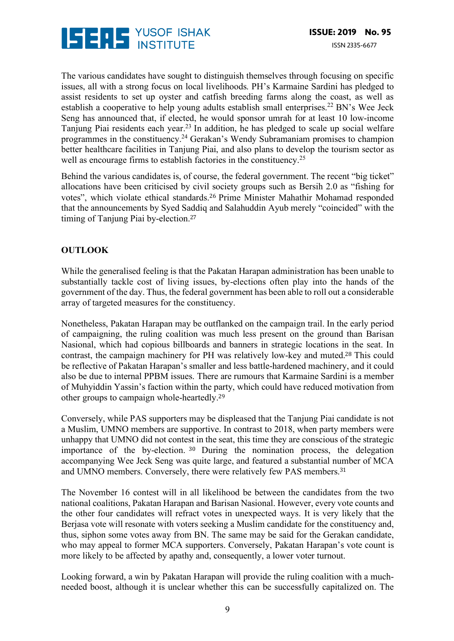

The various candidates have sought to distinguish themselves through focusing on specific issues, all with a strong focus on local livelihoods. PH's Karmaine Sardini has pledged to assist residents to set up oyster and catfish breeding farms along the coast, as well as establish a cooperative to help young adults establish small enterprises.<sup>22</sup> BN's Wee Jeck Seng has announced that, if elected, he would sponsor umrah for at least 10 low-income Tanjung Piai residents each year.<sup>23</sup> In addition, he has pledged to scale up social welfare programmes in the constituency.24 Gerakan's Wendy Subramaniam promises to champion better healthcare facilities in Tanjung Piai, and also plans to develop the tourism sector as well as encourage firms to establish factories in the constituency.<sup>25</sup>

Behind the various candidates is, of course, the federal government. The recent "big ticket" allocations have been criticised by civil society groups such as Bersih 2.0 as "fishing for votes", which violate ethical standards.<sup>26</sup> Prime Minister Mahathir Mohamad responded that the announcements by Syed Saddiq and Salahuddin Ayub merely "coincided" with the timing of Tanjung Piai by-election.<sup>27</sup>

# **OUTLOOK**

While the generalised feeling is that the Pakatan Harapan administration has been unable to substantially tackle cost of living issues, by-elections often play into the hands of the government of the day. Thus, the federal government has been able to roll out a considerable array of targeted measures for the constituency.

Nonetheless, Pakatan Harapan may be outflanked on the campaign trail. In the early period of campaigning, the ruling coalition was much less present on the ground than Barisan Nasional, which had copious billboards and banners in strategic locations in the seat. In contrast, the campaign machinery for PH was relatively low-key and muted.<sup>28</sup> This could be reflective of Pakatan Harapan's smaller and less battle-hardened machinery, and it could also be due to internal PPBM issues. There are rumours that Karmaine Sardini is a member of Muhyiddin Yassin's faction within the party, which could have reduced motivation from other groups to campaign whole-heartedly.<sup>29</sup>

Conversely, while PAS supporters may be displeased that the Tanjung Piai candidate is not a Muslim, UMNO members are supportive. In contrast to 2018, when party members were unhappy that UMNO did not contest in the seat, this time they are conscious of the strategic importance of the by-election. <sup>30</sup> During the nomination process, the delegation accompanying Wee Jeck Seng was quite large, and featured a substantial number of MCA and UMNO members. Conversely, there were relatively few PAS members.<sup>31</sup>

The November 16 contest will in all likelihood be between the candidates from the two national coalitions, Pakatan Harapan and Barisan Nasional. However, every vote counts and the other four candidates will refract votes in unexpected ways. It is very likely that the Berjasa vote will resonate with voters seeking a Muslim candidate for the constituency and, thus, siphon some votes away from BN. The same may be said for the Gerakan candidate, who may appeal to former MCA supporters. Conversely, Pakatan Harapan's vote count is more likely to be affected by apathy and, consequently, a lower voter turnout.

Looking forward, a win by Pakatan Harapan will provide the ruling coalition with a muchneeded boost, although it is unclear whether this can be successfully capitalized on. The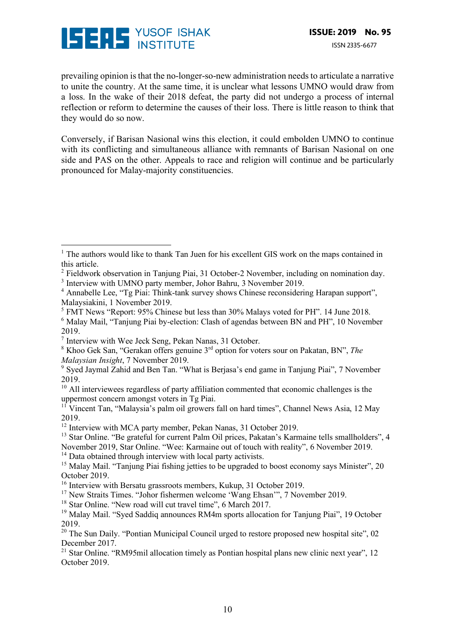

 

prevailing opinion is that the no-longer-so-new administration needs to articulate a narrative to unite the country. At the same time, it is unclear what lessons UMNO would draw from a loss. In the wake of their 2018 defeat, the party did not undergo a process of internal reflection or reform to determine the causes of their loss. There is little reason to think that they would do so now.

Conversely, if Barisan Nasional wins this election, it could embolden UMNO to continue with its conflicting and simultaneous alliance with remnants of Barisan Nasional on one side and PAS on the other. Appeals to race and religion will continue and be particularly pronounced for Malay-majority constituencies.

- <sup>5</sup> FMT News "Report: 95% Chinese but less than 30% Malays voted for PH". 14 June 2018.
- <sup>6</sup> Malay Mail, "Tanjung Piai by-election: Clash of agendas between BN and PH", 10 November 2019.

<sup>8</sup> Khoo Gek San, "Gerakan offers genuine 3rd option for voters sour on Pakatan, BN", *The Malaysian Insight*, 7 November 2019.

 $<sup>1</sup>$  The authors would like to thank Tan Juen for his excellent GIS work on the maps contained in</sup> this article.

<sup>&</sup>lt;sup>2</sup> Fieldwork observation in Tanjung Piai, 31 October-2 November, including on nomination day.

<sup>3</sup> Interview with UMNO party member, Johor Bahru, 3 November 2019.

<sup>&</sup>lt;sup>4</sup> Annabelle Lee, "Tg Piai: Think-tank survey shows Chinese reconsidering Harapan support", Malaysiakini, 1 November 2019.

<sup>7</sup> Interview with Wee Jeck Seng, Pekan Nanas, 31 October.

<sup>9</sup> Syed Jaymal Zahid and Ben Tan. "What is Berjasa's end game in Tanjung Piai", 7 November 2019.

 $10$  All interviewees regardless of party affiliation commented that economic challenges is the uppermost concern amongst voters in Tg Piai.

<sup>&</sup>lt;sup>11</sup> Vincent Tan. "Malaysia's palm oil growers fall on hard times", Channel News Asia, 12 May 2019.

<sup>&</sup>lt;sup>12</sup> Interview with MCA party member, Pekan Nanas, 31 October 2019.

<sup>&</sup>lt;sup>13</sup> Star Online. "Be grateful for current Palm Oil prices, Pakatan's Karmaine tells smallholders", 4 November 2019, Star Online. "Wee: Karmaine out of touch with reality", 6 November 2019.

<sup>&</sup>lt;sup>14</sup> Data obtained through interview with local party activists.

<sup>&</sup>lt;sup>15</sup> Malay Mail. "Tanjung Piai fishing jetties to be upgraded to boost economy says Minister", 20 October 2019.

<sup>&</sup>lt;sup>16</sup> Interview with Bersatu grassroots members, Kukup, 31 October 2019.

<sup>17</sup> New Straits Times. "Johor fishermen welcome 'Wang Ehsan'", 7 November 2019.

<sup>&</sup>lt;sup>18</sup> Star Online. "New road will cut travel time", 6 March 2017.

<sup>&</sup>lt;sup>19</sup> Malay Mail. "Syed Saddiq announces RM4m sports allocation for Tanjung Piai", 19 October 2019.

<sup>&</sup>lt;sup>20</sup> The Sun Daily. "Pontian Municipal Council urged to restore proposed new hospital site", 02 December 2017.

<sup>&</sup>lt;sup>21</sup> Star Online. "RM95mil allocation timely as Pontian hospital plans new clinic next year", 12 October 2019.